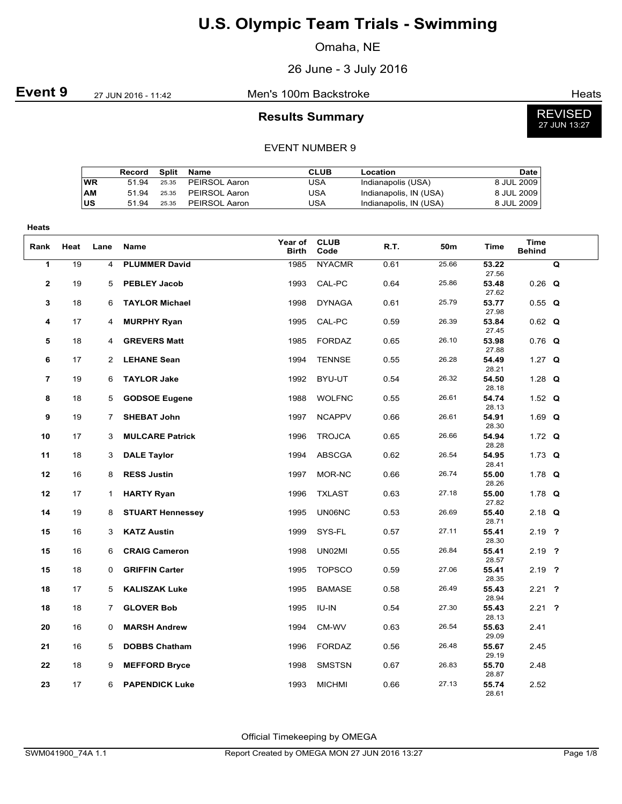Omaha, NE

26 June - 3 July 2016

### **Event 9** 27 JUN 2016 - 11:42 Men's 100m Backstroke **Event 9** Heats

#### **Results Summary**

REVISED 27 JUN 13:27

#### EVENT NUMBER 9

|           | Record | Split | Name                | CLUB | Location               | <b>Date</b>  |
|-----------|--------|-------|---------------------|------|------------------------|--------------|
| <b>WR</b> | 51 94  | 25.35 | PEIRSOL Aaron       | USA  | Indianapolis (USA)     | 8 JUL 2009   |
| AM        | 51 94  | 25.35 | PEIRSOL Aaron       | USA  | Indianapolis, IN (USA) | 8 JUL 2009   |
| US        | 51 94  |       | 25.35 PEIRSOL Aaron | USA  | Indianapolis, IN (USA) | 8 JUL 2009 I |

| Heats          |      |                |                         |                         |                     |      |                 |                |                              |   |
|----------------|------|----------------|-------------------------|-------------------------|---------------------|------|-----------------|----------------|------------------------------|---|
| Rank           | Heat | Lane           | Name                    | Year of<br><b>Birth</b> | <b>CLUB</b><br>Code | R.T. | 50 <sub>m</sub> | <b>Time</b>    | <b>Time</b><br><b>Behind</b> |   |
| 1              | 19   | $\overline{4}$ | <b>PLUMMER David</b>    | 1985                    | <b>NYACMR</b>       | 0.61 | 25.66           | 53.22<br>27.56 |                              | Q |
| $\mathbf{2}$   | 19   | 5              | <b>PEBLEY Jacob</b>     | 1993                    | CAL-PC              | 0.64 | 25.86           | 53.48<br>27.62 | $0.26$ Q                     |   |
| 3              | 18   | 6              | <b>TAYLOR Michael</b>   | 1998                    | <b>DYNAGA</b>       | 0.61 | 25.79           | 53.77<br>27.98 | $0.55$ Q                     |   |
| 4              | 17   | 4              | <b>MURPHY Ryan</b>      | 1995                    | CAL-PC              | 0.59 | 26.39           | 53.84<br>27.45 | $0.62$ Q                     |   |
| 5              | 18   | 4              | <b>GREVERS Matt</b>     | 1985                    | FORDAZ              | 0.65 | 26.10           | 53.98<br>27.88 | $0.76$ Q                     |   |
| 6              | 17   | 2              | <b>LEHANE Sean</b>      | 1994                    | <b>TENNSE</b>       | 0.55 | 26.28           | 54.49<br>28.21 | 1.27 $Q$                     |   |
| $\overline{7}$ | 19   | 6              | <b>TAYLOR Jake</b>      | 1992                    | BYU-UT              | 0.54 | 26.32           | 54.50<br>28.18 | 1.28 $Q$                     |   |
| 8              | 18   | 5              | <b>GODSOE Eugene</b>    | 1988                    | <b>WOLFNC</b>       | 0.55 | 26.61           | 54.74<br>28.13 | 1.52 $Q$                     |   |
| 9              | 19   | $\overline{7}$ | <b>SHEBAT John</b>      | 1997                    | <b>NCAPPV</b>       | 0.66 | 26.61           | 54.91<br>28.30 | 1.69 $Q$                     |   |
| 10             | 17   | 3              | <b>MULCARE Patrick</b>  | 1996                    | <b>TROJCA</b>       | 0.65 | 26.66           | 54.94<br>28.28 | 1.72 $Q$                     |   |
| 11             | 18   | 3              | <b>DALE Taylor</b>      | 1994                    | <b>ABSCGA</b>       | 0.62 | 26.54           | 54.95<br>28.41 | 1.73 $Q$                     |   |
| 12             | 16   | 8              | <b>RESS Justin</b>      | 1997                    | MOR-NC              | 0.66 | 26.74           | 55.00<br>28.26 | 1.78 $Q$                     |   |
| 12             | 17   | $\mathbf{1}$   | <b>HARTY Ryan</b>       | 1996                    | <b>TXLAST</b>       | 0.63 | 27.18           | 55.00<br>27.82 | 1.78 $Q$                     |   |
| 14             | 19   | 8              | <b>STUART Hennessey</b> | 1995                    | <b>UN06NC</b>       | 0.53 | 26.69           | 55.40<br>28.71 | $2.18$ Q                     |   |
| 15             | 16   | 3              | <b>KATZ Austin</b>      | 1999                    | SYS-FL              | 0.57 | 27.11           | 55.41<br>28.30 | $2.19$ ?                     |   |
| 15             | 16   | 6              | <b>CRAIG Cameron</b>    | 1998                    | UN02MI              | 0.55 | 26.84           | 55.41<br>28.57 | $2.19$ ?                     |   |
| 15             | 18   | 0              | <b>GRIFFIN Carter</b>   | 1995                    | <b>TOPSCO</b>       | 0.59 | 27.06           | 55.41<br>28.35 | $2.19$ ?                     |   |
| 18             | 17   | 5              | <b>KALISZAK Luke</b>    | 1995                    | <b>BAMASE</b>       | 0.58 | 26.49           | 55.43<br>28.94 | $2.21$ ?                     |   |
| 18             | 18   | $\overline{7}$ | <b>GLOVER Bob</b>       | 1995                    | IU-IN               | 0.54 | 27.30           | 55.43<br>28.13 | $2.21$ ?                     |   |
| 20             | 16   | 0              | <b>MARSH Andrew</b>     | 1994                    | CM-WV               | 0.63 | 26.54           | 55.63<br>29.09 | 2.41                         |   |
| 21             | 16   | 5              | <b>DOBBS Chatham</b>    | 1996                    | <b>FORDAZ</b>       | 0.56 | 26.48           | 55.67<br>29.19 | 2.45                         |   |
| 22             | 18   | 9              | <b>MEFFORD Bryce</b>    | 1998                    | <b>SMSTSN</b>       | 0.67 | 26.83           | 55.70<br>28.87 | 2.48                         |   |
| 23             | 17   | 6              | <b>PAPENDICK Luke</b>   | 1993                    | <b>MICHMI</b>       | 0.66 | 27.13           | 55.74<br>28.61 | 2.52                         |   |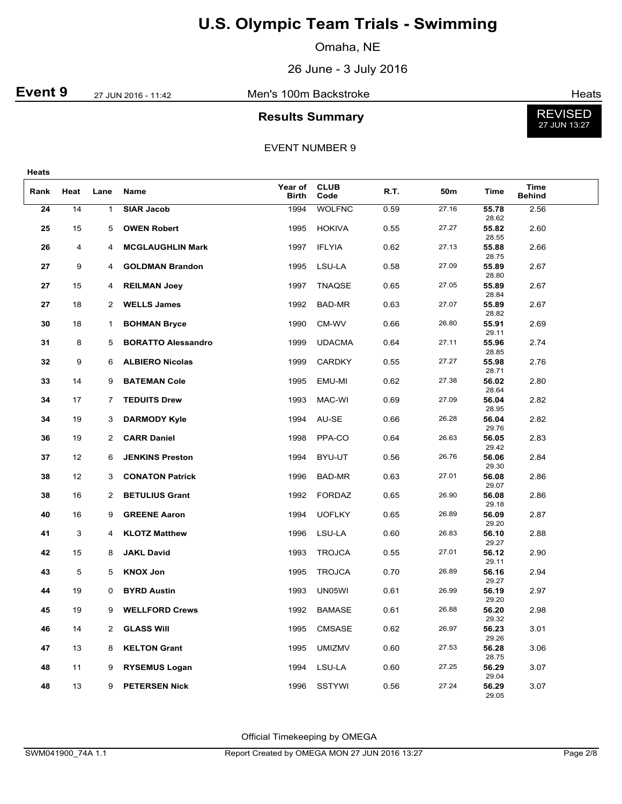Omaha, NE

26 June - 3 July 2016

**Event 9** 27 JUN 2016 - 11:42 Men's 100m Backstroke **Event 9** Heats

### **Results Summary**



EVENT NUMBER 9

| . .<br>v<br>. .<br>$\sim$<br>۰.<br>× |
|--------------------------------------|
|--------------------------------------|

| Rank | Heat | Lane           | Name                      | Year of<br><b>Birth</b> | <b>CLUB</b><br>Code | R.T. | 50m   | Time           | <b>Time</b><br><b>Behind</b> |  |
|------|------|----------------|---------------------------|-------------------------|---------------------|------|-------|----------------|------------------------------|--|
| 24   | 14   | 1              | <b>SIAR Jacob</b>         | 1994                    | <b>WOLFNC</b>       | 0.59 | 27.16 | 55.78<br>28.62 | 2.56                         |  |
| 25   | 15   | 5              | <b>OWEN Robert</b>        | 1995                    | <b>HOKIVA</b>       | 0.55 | 27.27 | 55.82<br>28.55 | 2.60                         |  |
| 26   | 4    | 4              | <b>MCGLAUGHLIN Mark</b>   | 1997                    | <b>IFLYIA</b>       | 0.62 | 27.13 | 55.88<br>28.75 | 2.66                         |  |
| 27   | 9    | 4              | <b>GOLDMAN Brandon</b>    | 1995                    | LSU-LA              | 0.58 | 27.09 | 55.89<br>28.80 | 2.67                         |  |
| 27   | 15   | 4              | <b>REILMAN Joey</b>       | 1997                    | TNAQSE              | 0.65 | 27.05 | 55.89<br>28.84 | 2.67                         |  |
| 27   | 18   | 2              | <b>WELLS James</b>        | 1992                    | BAD-MR              | 0.63 | 27.07 | 55.89<br>28.82 | 2.67                         |  |
| 30   | 18   | 1              | <b>BOHMAN Bryce</b>       | 1990                    | CM-WV               | 0.66 | 26.80 | 55.91<br>29.11 | 2.69                         |  |
| 31   | 8    | 5              | <b>BORATTO Alessandro</b> | 1999                    | <b>UDACMA</b>       | 0.64 | 27.11 | 55.96<br>28.85 | 2.74                         |  |
| 32   | 9    | 6              | <b>ALBIERO Nicolas</b>    | 1999                    | <b>CARDKY</b>       | 0.55 | 27.27 | 55.98<br>28.71 | 2.76                         |  |
| 33   | 14   | 9              | <b>BATEMAN Cole</b>       | 1995                    | EMU-MI              | 0.62 | 27.38 | 56.02<br>28.64 | 2.80                         |  |
| 34   | 17   | 7              | <b>TEDUITS Drew</b>       | 1993                    | MAC-WI              | 0.69 | 27.09 | 56.04<br>28.95 | 2.82                         |  |
| 34   | 19   | 3              | <b>DARMODY Kyle</b>       | 1994                    | AU-SE               | 0.66 | 26.28 | 56.04<br>29.76 | 2.82                         |  |
| 36   | 19   | $\overline{2}$ | <b>CARR Daniel</b>        | 1998                    | PPA-CO              | 0.64 | 26.63 | 56.05<br>29.42 | 2.83                         |  |
| 37   | 12   | 6              | <b>JENKINS Preston</b>    | 1994                    | BYU-UT              | 0.56 | 26.76 | 56.06<br>29.30 | 2.84                         |  |
| 38   | 12   | 3              | <b>CONATON Patrick</b>    | 1996                    | BAD-MR              | 0.63 | 27.01 | 56.08<br>29.07 | 2.86                         |  |
| 38   | 16   | $\overline{2}$ | <b>BETULIUS Grant</b>     | 1992                    | <b>FORDAZ</b>       | 0.65 | 26.90 | 56.08<br>29.18 | 2.86                         |  |
| 40   | 16   | 9              | <b>GREENE Aaron</b>       | 1994                    | <b>UOFLKY</b>       | 0.65 | 26.89 | 56.09<br>29.20 | 2.87                         |  |
| 41   | 3    | 4              | <b>KLOTZ Matthew</b>      | 1996                    | LSU-LA              | 0.60 | 26.83 | 56.10<br>29.27 | 2.88                         |  |
| 42   | 15   | 8              | <b>JAKL David</b>         | 1993                    | <b>TROJCA</b>       | 0.55 | 27.01 | 56.12<br>29.11 | 2.90                         |  |
| 43   | 5    | 5              | <b>KNOX Jon</b>           | 1995                    | <b>TROJCA</b>       | 0.70 | 26.89 | 56.16<br>29.27 | 2.94                         |  |
| 44   | 19   | 0              | <b>BYRD Austin</b>        | 1993                    | UN05WI              | 0.61 | 26.99 | 56.19<br>29.20 | 2.97                         |  |
| 45   | 19   | 9              | <b>WELLFORD Crews</b>     | 1992                    | <b>BAMASE</b>       | 0.61 | 26.88 | 56.20<br>29.32 | 2.98                         |  |
| 46   | 14   | 2              | <b>GLASS WIII</b>         | 1995                    | CMSASE              | 0.62 | 26.97 | 56.23<br>29.26 | 3.01                         |  |
| 47   | 13   | 8              | <b>KELTON Grant</b>       | 1995                    | UMIZMV              | 0.60 | 27.53 | 56.28<br>28.75 | 3.06                         |  |
| 48   | 11   | 9              | <b>RYSEMUS Logan</b>      | 1994                    | LSU-LA              | 0.60 | 27.25 | 56.29<br>29.04 | 3.07                         |  |
| 48   | 13   | 9              | <b>PETERSEN Nick</b>      | 1996                    | <b>SSTYWI</b>       | 0.56 | 27.24 | 56.29<br>29.05 | 3.07                         |  |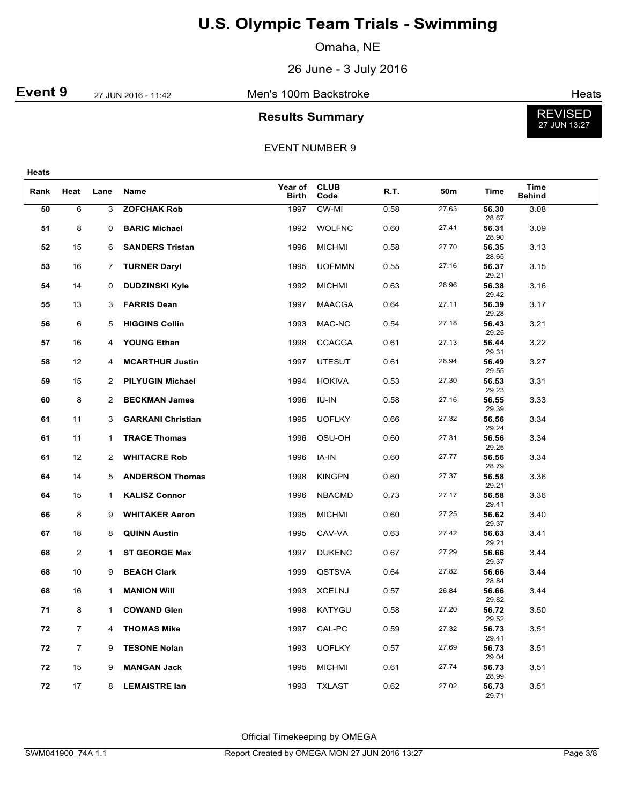Omaha, NE

26 June - 3 July 2016

**Event 9** 27 JUN 2016 - 11:42 Men's 100m Backstroke **Event 9** Heats

### **Results Summary**



EVENT NUMBER 9

| ۰.<br>٠<br>۰.<br>×<br>. . |
|---------------------------|
|---------------------------|

| Rank | Heat           | Lane         | Name                     | Year of<br><b>Birth</b> | <b>CLUB</b><br>Code | R.T. | 50m   | Time           | <b>Time</b><br><b>Behind</b> |  |
|------|----------------|--------------|--------------------------|-------------------------|---------------------|------|-------|----------------|------------------------------|--|
| 50   | 6              | 3            | <b>ZOFCHAK Rob</b>       | 1997                    | CW-MI               | 0.58 | 27.63 | 56.30<br>28.67 | 3.08                         |  |
| 51   | 8              | 0            | <b>BARIC Michael</b>     | 1992                    | <b>WOLFNC</b>       | 0.60 | 27.41 | 56.31<br>28.90 | 3.09                         |  |
| 52   | 15             | 6            | <b>SANDERS Tristan</b>   | 1996                    | <b>MICHMI</b>       | 0.58 | 27.70 | 56.35<br>28.65 | 3.13                         |  |
| 53   | 16             | 7            | <b>TURNER Daryl</b>      | 1995                    | <b>UOFMMN</b>       | 0.55 | 27.16 | 56.37<br>29.21 | 3.15                         |  |
| 54   | 14             | 0            | <b>DUDZINSKI Kyle</b>    | 1992                    | <b>MICHMI</b>       | 0.63 | 26.96 | 56.38<br>29.42 | 3.16                         |  |
| 55   | 13             | 3            | <b>FARRIS Dean</b>       | 1997                    | <b>MAACGA</b>       | 0.64 | 27.11 | 56.39<br>29.28 | 3.17                         |  |
| 56   | 6              | 5            | <b>HIGGINS Collin</b>    | 1993                    | MAC-NC              | 0.54 | 27.18 | 56.43<br>29.25 | 3.21                         |  |
| 57   | 16             | 4            | <b>YOUNG Ethan</b>       | 1998                    | <b>CCACGA</b>       | 0.61 | 27.13 | 56.44<br>29.31 | 3.22                         |  |
| 58   | 12             | 4            | <b>MCARTHUR Justin</b>   | 1997                    | <b>UTESUT</b>       | 0.61 | 26.94 | 56.49<br>29.55 | 3.27                         |  |
| 59   | 15             | 2            | <b>PILYUGIN Michael</b>  | 1994                    | <b>HOKIVA</b>       | 0.53 | 27.30 | 56.53<br>29.23 | 3.31                         |  |
| 60   | 8              | 2            | <b>BECKMAN James</b>     | 1996                    | IU-IN               | 0.58 | 27.16 | 56.55<br>29.39 | 3.33                         |  |
| 61   | 11             | 3            | <b>GARKANI Christian</b> | 1995                    | <b>UOFLKY</b>       | 0.66 | 27.32 | 56.56<br>29.24 | 3.34                         |  |
| 61   | 11             | $\mathbf{1}$ | <b>TRACE Thomas</b>      | 1996                    | OSU-OH              | 0.60 | 27.31 | 56.56<br>29.25 | 3.34                         |  |
| 61   | 12             | 2            | <b>WHITACRE Rob</b>      | 1996                    | IA-IN               | 0.60 | 27.77 | 56.56<br>28.79 | 3.34                         |  |
| 64   | 14             | 5            | <b>ANDERSON Thomas</b>   | 1998                    | <b>KINGPN</b>       | 0.60 | 27.37 | 56.58<br>29.21 | 3.36                         |  |
| 64   | 15             | $\mathbf{1}$ | <b>KALISZ Connor</b>     | 1996                    | <b>NBACMD</b>       | 0.73 | 27.17 | 56.58<br>29.41 | 3.36                         |  |
| 66   | 8              | 9            | <b>WHITAKER Aaron</b>    | 1995                    | <b>MICHMI</b>       | 0.60 | 27.25 | 56.62<br>29.37 | 3.40                         |  |
| 67   | 18             | 8            | <b>QUINN Austin</b>      | 1995                    | CAV-VA              | 0.63 | 27.42 | 56.63<br>29.21 | 3.41                         |  |
| 68   | $\overline{2}$ | $\mathbf 1$  | <b>ST GEORGE Max</b>     | 1997                    | <b>DUKENC</b>       | 0.67 | 27.29 | 56.66<br>29.37 | 3.44                         |  |
| 68   | 10             | 9            | <b>BEACH Clark</b>       | 1999                    | QSTSVA              | 0.64 | 27.82 | 56.66<br>28.84 | 3.44                         |  |
| 68   | 16             | $\mathbf{1}$ | <b>MANION WIII</b>       | 1993                    | <b>XCELNJ</b>       | 0.57 | 26.84 | 56.66<br>29.82 | 3.44                         |  |
| 71   | 8              | $\mathbf{1}$ | <b>COWAND Glen</b>       | 1998                    | KATYGU              | 0.58 | 27.20 | 56.72<br>29.52 | 3.50                         |  |
| 72   | $\overline{7}$ | 4            | <b>THOMAS Mike</b>       | 1997                    | CAL-PC              | 0.59 | 27.32 | 56.73<br>29.41 | 3.51                         |  |
| 72   | $\overline{7}$ | 9            | <b>TESONE Nolan</b>      | 1993                    | <b>UOFLKY</b>       | 0.57 | 27.69 | 56.73<br>29.04 | 3.51                         |  |
| 72   | 15             | 9            | <b>MANGAN Jack</b>       | 1995                    | <b>MICHMI</b>       | 0.61 | 27.74 | 56.73<br>28.99 | 3.51                         |  |
| 72   | 17             | 8            | <b>LEMAISTRE lan</b>     | 1993                    | <b>TXLAST</b>       | 0.62 | 27.02 | 56.73<br>29.71 | 3.51                         |  |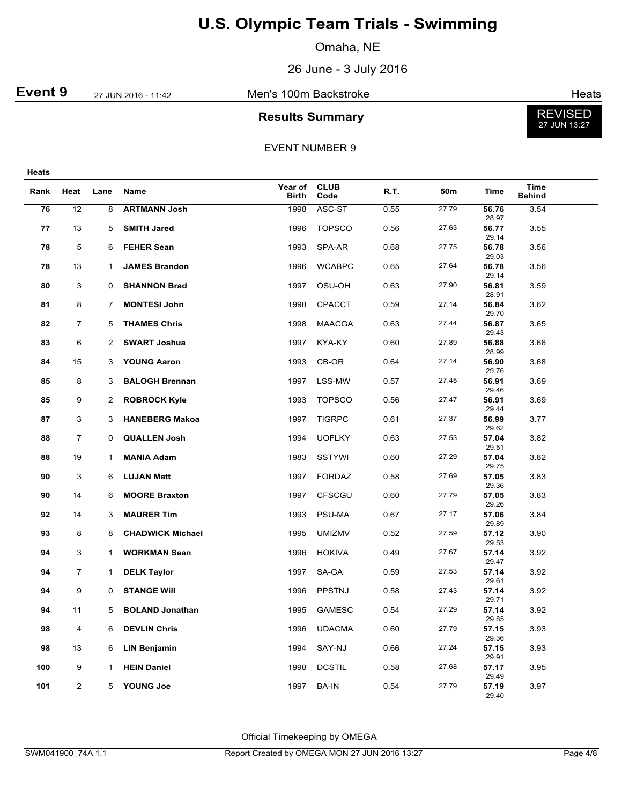Omaha, NE

26 June - 3 July 2016

**Event 9** 27 JUN 2016 - 11:42 Men's 100m Backstroke **Event 9** Heats

#### **Results Summary**



EVENT NUMBER 9

| v<br>. .<br>w<br>. .<br>$\sim$<br>۰. |
|--------------------------------------|
|--------------------------------------|

| Rank | Heat           | Lane         | Name                    | Year of<br><b>Birth</b> | <b>CLUB</b><br>Code | R.T. | 50m   | Time           | Time<br><b>Behind</b> |  |
|------|----------------|--------------|-------------------------|-------------------------|---------------------|------|-------|----------------|-----------------------|--|
| 76   | 12             | 8            | <b>ARTMANN Josh</b>     | 1998                    | ASC-ST              | 0.55 | 27.79 | 56.76<br>28.97 | 3.54                  |  |
| 77   | 13             | 5            | <b>SMITH Jared</b>      | 1996                    | <b>TOPSCO</b>       | 0.56 | 27.63 | 56.77<br>29.14 | 3.55                  |  |
| 78   | 5              | 6            | <b>FEHER Sean</b>       | 1993                    | SPA-AR              | 0.68 | 27.75 | 56.78<br>29.03 | 3.56                  |  |
| 78   | 13             | $\mathbf{1}$ | <b>JAMES Brandon</b>    | 1996                    | <b>WCABPC</b>       | 0.65 | 27.64 | 56.78<br>29.14 | 3.56                  |  |
| 80   | 3              | $\mathbf 0$  | <b>SHANNON Brad</b>     | 1997                    | OSU-OH              | 0.63 | 27.90 | 56.81<br>28.91 | 3.59                  |  |
| 81   | 8              | 7            | <b>MONTESI John</b>     | 1998                    | <b>CPACCT</b>       | 0.59 | 27.14 | 56.84<br>29.70 | 3.62                  |  |
| 82   | $\overline{7}$ | 5            | <b>THAMES Chris</b>     | 1998                    | <b>MAACGA</b>       | 0.63 | 27.44 | 56.87<br>29.43 | 3.65                  |  |
| 83   | 6              | 2            | <b>SWART Joshua</b>     | 1997                    | KYA-KY              | 0.60 | 27.89 | 56.88<br>28.99 | 3.66                  |  |
| 84   | 15             | 3            | <b>YOUNG Aaron</b>      | 1993                    | CB-OR               | 0.64 | 27.14 | 56.90<br>29.76 | 3.68                  |  |
| 85   | 8              | 3            | <b>BALOGH Brennan</b>   | 1997                    | LSS-MW              | 0.57 | 27.45 | 56.91<br>29.46 | 3.69                  |  |
| 85   | 9              | 2            | <b>ROBROCK Kyle</b>     | 1993                    | <b>TOPSCO</b>       | 0.56 | 27.47 | 56.91<br>29.44 | 3.69                  |  |
| 87   | 3              | 3            | <b>HANEBERG Makoa</b>   | 1997                    | <b>TIGRPC</b>       | 0.61 | 27.37 | 56.99<br>29.62 | 3.77                  |  |
| 88   | $\overline{7}$ | $\mathbf 0$  | <b>QUALLEN Josh</b>     | 1994                    | <b>UOFLKY</b>       | 0.63 | 27.53 | 57.04<br>29.51 | 3.82                  |  |
| 88   | 19             | 1            | <b>MANIA Adam</b>       | 1983                    | SSTYWI              | 0.60 | 27.29 | 57.04<br>29.75 | 3.82                  |  |
| 90   | 3              | 6            | <b>LUJAN Matt</b>       | 1997                    | <b>FORDAZ</b>       | 0.58 | 27.69 | 57.05<br>29.36 | 3.83                  |  |
| 90   | 14             | 6            | <b>MOORE Braxton</b>    | 1997                    | <b>CFSCGU</b>       | 0.60 | 27.79 | 57.05<br>29.26 | 3.83                  |  |
| 92   | 14             | 3            | <b>MAURER Tim</b>       | 1993                    | PSU-MA              | 0.67 | 27.17 | 57.06<br>29.89 | 3.84                  |  |
| 93   | 8              | 8            | <b>CHADWICK Michael</b> | 1995                    | <b>UMIZMV</b>       | 0.52 | 27.59 | 57.12<br>29.53 | 3.90                  |  |
| 94   | 3              | 1            | <b>WORKMAN Sean</b>     | 1996                    | <b>HOKIVA</b>       | 0.49 | 27.67 | 57.14<br>29.47 | 3.92                  |  |
| 94   | $\overline{7}$ | $\mathbf{1}$ | <b>DELK Taylor</b>      | 1997                    | SA-GA               | 0.59 | 27.53 | 57.14<br>29.61 | 3.92                  |  |
| 94   | 9              | $\mathbf 0$  | <b>STANGE WIII</b>      | 1996                    | PPSTNJ              | 0.58 | 27.43 | 57.14<br>29.71 | 3.92                  |  |
| 94   | 11             | 5            | <b>BOLAND Jonathan</b>  | 1995                    | <b>GAMESC</b>       | 0.54 | 27.29 | 57.14<br>29.85 | 3.92                  |  |
| 98   | 4              | 6            | <b>DEVLIN Chris</b>     | 1996                    | <b>UDACMA</b>       | 0.60 | 27.79 | 57.15<br>29.36 | 3.93                  |  |
| 98   | 13             | 6            | <b>LIN Benjamin</b>     | 1994                    | SAY-NJ              | 0.66 | 27.24 | 57.15<br>29.91 | 3.93                  |  |
| 100  | 9              | 1            | <b>HEIN Daniel</b>      | 1998                    | <b>DCSTIL</b>       | 0.58 | 27.68 | 57.17<br>29.49 | 3.95                  |  |
| 101  | $\overline{2}$ | 5            | <b>YOUNG Joe</b>        | 1997                    | <b>BA-IN</b>        | 0.54 | 27.79 | 57.19<br>29.40 | 3.97                  |  |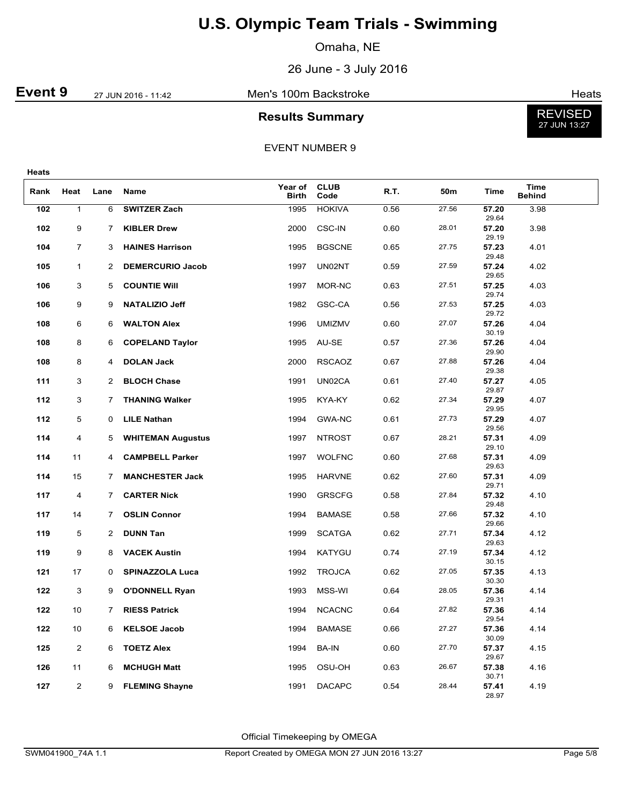Omaha, NE

26 June - 3 July 2016

**Event 9** 27 JUN 2016 - 11:42 Men's 100m Backstroke **Event 9** Heats

### **Results Summary**



EVENT NUMBER 9

| ۰.<br>. .<br>. .<br>÷<br>. .<br>× |
|-----------------------------------|
|-----------------------------------|

| Rank | Heat           | Lane | Name                     | Year of<br><b>Birth</b> | <b>CLUB</b><br>Code | R.T. | 50m   | Time                    | <b>Time</b><br><b>Behind</b> |  |
|------|----------------|------|--------------------------|-------------------------|---------------------|------|-------|-------------------------|------------------------------|--|
| 102  | $\mathbf{1}$   | 6    | <b>SWITZER Zach</b>      | 1995                    | <b>HOKIVA</b>       | 0.56 | 27.56 | 57.20<br>29.64          | 3.98                         |  |
| 102  | 9              | 7    | <b>KIBLER Drew</b>       | 2000                    | <b>CSC-IN</b>       | 0.60 | 28.01 | 57.20<br>29.19          | 3.98                         |  |
| 104  | $\overline{7}$ | 3    | <b>HAINES Harrison</b>   | 1995                    | <b>BGSCNE</b>       | 0.65 | 27.75 | 57.23                   | 4.01                         |  |
| 105  | $\mathbf{1}$   | 2    | <b>DEMERCURIO Jacob</b>  | 1997                    | UN02NT              | 0.59 | 27.59 | 29.48<br>57.24<br>29.65 | 4.02                         |  |
| 106  | 3              | 5    | <b>COUNTIE WIII</b>      | 1997                    | MOR-NC              | 0.63 | 27.51 | 57.25<br>29.74          | 4.03                         |  |
| 106  | 9              | 9    | <b>NATALIZIO Jeff</b>    | 1982                    | GSC-CA              | 0.56 | 27.53 | 57.25<br>29.72          | 4.03                         |  |
| 108  | 6              | 6    | <b>WALTON Alex</b>       | 1996                    | <b>UMIZMV</b>       | 0.60 | 27.07 | 57.26<br>30.19          | 4.04                         |  |
| 108  | 8              | 6    | <b>COPELAND Taylor</b>   | 1995                    | AU-SE               | 0.57 | 27.36 | 57.26<br>29.90          | 4.04                         |  |
| 108  | 8              | 4    | <b>DOLAN Jack</b>        | 2000                    | <b>RSCAOZ</b>       | 0.67 | 27.88 | 57.26<br>29.38          | 4.04                         |  |
| 111  | 3              | 2    | <b>BLOCH Chase</b>       | 1991                    | UN02CA              | 0.61 | 27.40 | 57.27<br>29.87          | 4.05                         |  |
| 112  | 3              | 7    | <b>THANING Walker</b>    | 1995                    | KYA-KY              | 0.62 | 27.34 | 57.29<br>29.95          | 4.07                         |  |
| 112  | 5              | 0    | <b>LILE Nathan</b>       | 1994                    | GWA-NC              | 0.61 | 27.73 | 57.29<br>29.56          | 4.07                         |  |
| 114  | 4              | 5    | <b>WHITEMAN Augustus</b> | 1997                    | <b>NTROST</b>       | 0.67 | 28.21 | 57.31<br>29.10          | 4.09                         |  |
| 114  | 11             | 4    | <b>CAMPBELL Parker</b>   | 1997                    | <b>WOLFNC</b>       | 0.60 | 27.68 | 57.31<br>29.63          | 4.09                         |  |
| 114  | 15             | 7    | <b>MANCHESTER Jack</b>   | 1995                    | <b>HARVNE</b>       | 0.62 | 27.60 | 57.31<br>29.71          | 4.09                         |  |
| 117  | 4              | 7    | <b>CARTER Nick</b>       | 1990                    | <b>GRSCFG</b>       | 0.58 | 27.84 | 57.32<br>29.48          | 4.10                         |  |
| 117  | 14             | 7    | <b>OSLIN Connor</b>      | 1994                    | <b>BAMASE</b>       | 0.58 | 27.66 | 57.32<br>29.66          | 4.10                         |  |
| 119  | 5              | 2    | <b>DUNN Tan</b>          | 1999                    | <b>SCATGA</b>       | 0.62 | 27.71 | 57.34<br>29.63          | 4.12                         |  |
| 119  | 9              | 8    | <b>VACEK Austin</b>      | 1994                    | KATYGU              | 0.74 | 27.19 | 57.34<br>30.15          | 4.12                         |  |
| 121  | 17             | 0    | <b>SPINAZZOLA Luca</b>   | 1992                    | <b>TROJCA</b>       | 0.62 | 27.05 | 57.35<br>30.30          | 4.13                         |  |
| 122  | 3              | 9    | <b>O'DONNELL Ryan</b>    | 1993                    | MSS-WI              | 0.64 | 28.05 | 57.36<br>29.31          | 4.14                         |  |
| 122  | 10             | 7    | <b>RIESS Patrick</b>     | 1994                    | <b>NCACNC</b>       | 0.64 | 27.82 | 57.36<br>29.54          | 4.14                         |  |
| 122  | 10             | 6    | <b>KELSOE Jacob</b>      | 1994                    | <b>BAMASE</b>       | 0.66 | 27.27 | 57.36<br>30.09          | 4.14                         |  |
| 125  | $\overline{c}$ | 6    | <b>TOETZ Alex</b>        | 1994                    | <b>BA-IN</b>        | 0.60 | 27.70 | 57.37<br>29.67          | 4.15                         |  |
| 126  | 11             | 6    | <b>MCHUGH Matt</b>       | 1995                    | OSU-OH              | 0.63 | 26.67 | 57.38<br>30.71          | 4.16                         |  |
| 127  | $\overline{2}$ | 9    | <b>FLEMING Shayne</b>    | 1991                    | <b>DACAPC</b>       | 0.54 | 28.44 | 57.41<br>28.97          | 4.19                         |  |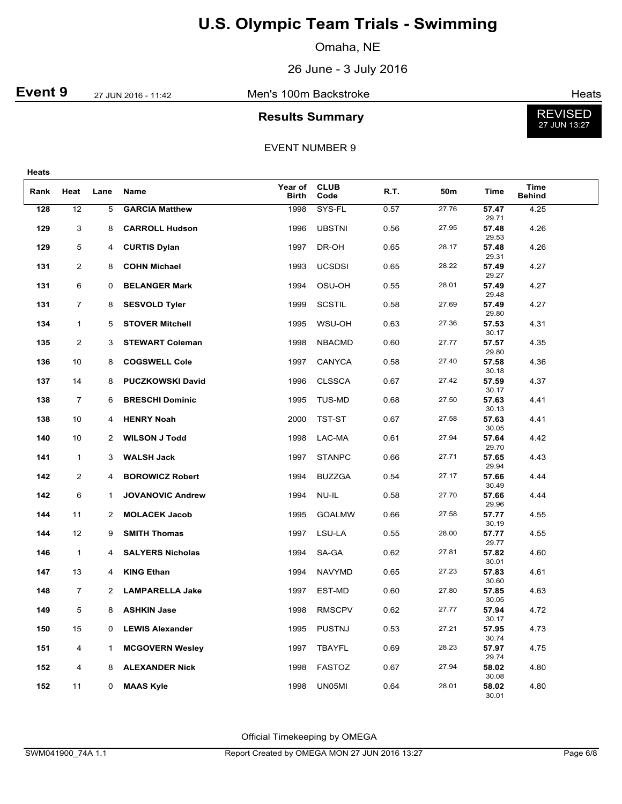Omaha, NE

26 June - 3 July 2016

### **Event 9** 27 JUN 2016 - 11:42 Men's 100m Backstroke **Event 9** Heats

# **Results Summary**



#### EVENT NUMBER 9

| × | ۰.<br>. .<br>. .<br>۰.<br>v<br>. . |
|---|------------------------------------|
|---|------------------------------------|

| Rank | Heat           | Lane           | Name                    | Year of<br><b>Birth</b> | <b>CLUB</b><br>Code | R.T. | 50m   | Time           | <b>Time</b><br><b>Behind</b> |  |
|------|----------------|----------------|-------------------------|-------------------------|---------------------|------|-------|----------------|------------------------------|--|
| 128  | 12             | 5              | <b>GARCIA Matthew</b>   | 1998                    | SYS-FL              | 0.57 | 27.76 | 57.47<br>29.71 | 4.25                         |  |
| 129  | 3              | 8              | <b>CARROLL Hudson</b>   | 1996                    | <b>UBSTNI</b>       | 0.56 | 27.95 | 57.48<br>29.53 | 4.26                         |  |
| 129  | 5              | 4              | <b>CURTIS Dylan</b>     | 1997                    | DR-OH               | 0.65 | 28.17 | 57.48<br>29.31 | 4.26                         |  |
| 131  | $\overline{c}$ | 8              | <b>COHN Michael</b>     | 1993                    | UCSDSI              | 0.65 | 28.22 | 57.49<br>29.27 | 4.27                         |  |
| 131  | 6              | 0              | <b>BELANGER Mark</b>    | 1994                    | OSU-OH              | 0.55 | 28.01 | 57.49<br>29.48 | 4.27                         |  |
| 131  | 7              | 8              | <b>SESVOLD Tyler</b>    | 1999                    | <b>SCSTIL</b>       | 0.58 | 27.69 | 57.49<br>29.80 | 4.27                         |  |
| 134  | $\mathbf{1}$   | 5              | <b>STOVER Mitchell</b>  | 1995                    | WSU-OH              | 0.63 | 27.36 | 57.53<br>30.17 | 4.31                         |  |
| 135  | 2              | 3              | <b>STEWART Coleman</b>  | 1998                    | <b>NBACMD</b>       | 0.60 | 27.77 | 57.57<br>29.80 | 4.35                         |  |
| 136  | 10             | 8              | <b>COGSWELL Cole</b>    | 1997                    | CANYCA              | 0.58 | 27.40 | 57.58<br>30.18 | 4.36                         |  |
| 137  | 14             | 8              | <b>PUCZKOWSKI David</b> | 1996                    | <b>CLSSCA</b>       | 0.67 | 27.42 | 57.59<br>30.17 | 4.37                         |  |
| 138  | 7              | 6              | <b>BRESCHI Dominic</b>  | 1995                    | TUS-MD              | 0.68 | 27.50 | 57.63<br>30.13 | 4.41                         |  |
| 138  | 10             | 4              | <b>HENRY Noah</b>       | 2000                    | TST-ST              | 0.67 | 27.58 | 57.63<br>30.05 | 4.41                         |  |
| 140  | 10             | 2              | <b>WILSON J Todd</b>    | 1998                    | LAC-MA              | 0.61 | 27.94 | 57.64<br>29.70 | 4.42                         |  |
| 141  | $\mathbf{1}$   | 3              | <b>WALSH Jack</b>       | 1997                    | <b>STANPC</b>       | 0.66 | 27.71 | 57.65<br>29.94 | 4.43                         |  |
| 142  | $\overline{2}$ | 4              | <b>BOROWICZ Robert</b>  | 1994                    | <b>BUZZGA</b>       | 0.54 | 27.17 | 57.66<br>30.49 | 4.44                         |  |
| 142  | 6              | 1              | <b>JOVANOVIC Andrew</b> | 1994                    | NU-IL               | 0.58 | 27.70 | 57.66<br>29.96 | 4.44                         |  |
| 144  | 11             | 2              | <b>MOLACEK Jacob</b>    | 1995                    | <b>GOALMW</b>       | 0.66 | 27.58 | 57.77<br>30.19 | 4.55                         |  |
| 144  | 12             | 9              | <b>SMITH Thomas</b>     | 1997                    | LSU-LA              | 0.55 | 28.00 | 57.77<br>29.77 | 4.55                         |  |
| 146  | $\mathbf{1}$   | 4              | <b>SALYERS Nicholas</b> | 1994                    | SA-GA               | 0.62 | 27.81 | 57.82<br>30.01 | 4.60                         |  |
| 147  | 13             | 4              | <b>KING Ethan</b>       | 1994                    | <b>NAVYMD</b>       | 0.65 | 27.23 | 57.83<br>30.60 | 4.61                         |  |
| 148  | $\overline{7}$ | $\overline{2}$ | <b>LAMPARELLA Jake</b>  | 1997                    | EST-MD              | 0.60 | 27.80 | 57.85<br>30.05 | 4.63                         |  |
| 149  | 5              | 8              | <b>ASHKIN Jase</b>      | 1998                    | <b>RMSCPV</b>       | 0.62 | 27.77 | 57.94<br>30.17 | 4.72                         |  |
| 150  | 15             | 0              | <b>LEWIS Alexander</b>  | 1995                    | <b>PUSTNJ</b>       | 0.53 | 27.21 | 57.95<br>30.74 | 4.73                         |  |
| 151  | 4              | 1              | <b>MCGOVERN Wesley</b>  | 1997                    | TBAYFL              | 0.69 | 28.23 | 57.97<br>29.74 | 4.75                         |  |
| 152  | 4              | 8              | <b>ALEXANDER Nick</b>   | 1998                    | <b>FASTOZ</b>       | 0.67 | 27.94 | 58.02<br>30.08 | 4.80                         |  |
| 152  | 11             | 0              | <b>MAAS Kyle</b>        | 1998                    | UN05MI              | 0.64 | 28.01 | 58.02<br>30.01 | 4.80                         |  |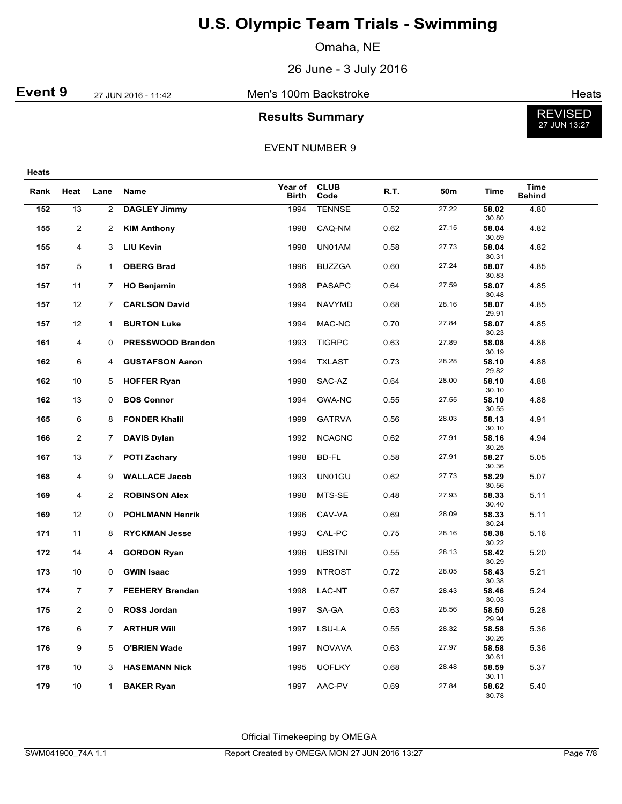Omaha, NE

26 June - 3 July 2016

**Event 9** 27 JUN 2016 - 11:42 Men's 100m Backstroke **Event 9** Heats

### **Results Summary**



EVENT NUMBER 9

| Rank | Heat           | Lane           | Name                     | Year of<br><b>Birth</b> | <b>CLUB</b><br>Code | R.T. | 50m   | Time                    | <b>Time</b><br><b>Behind</b> |
|------|----------------|----------------|--------------------------|-------------------------|---------------------|------|-------|-------------------------|------------------------------|
| 152  | 13             | $\overline{2}$ | <b>DAGLEY Jimmy</b>      | 1994                    | <b>TENNSE</b>       | 0.52 | 27.22 | 58.02                   | 4.80                         |
| 155  | 2              | $\overline{2}$ | <b>KIM Anthony</b>       | 1998                    | CAQ-NM              | 0.62 | 27.15 | 30.80<br>58.04          | 4.82                         |
| 155  | 4              | 3              | <b>LIU Kevin</b>         | 1998                    | UN01AM              | 0.58 | 27.73 | 30.89<br>58.04          | 4.82                         |
| 157  | 5              | 1              | <b>OBERG Brad</b>        | 1996                    | <b>BUZZGA</b>       | 0.60 | 27.24 | 30.31<br>58.07          | 4.85                         |
| 157  | 11             | 7              | <b>HO Benjamin</b>       | 1998                    | <b>PASAPC</b>       | 0.64 | 27.59 | 30.83<br>58.07<br>30.48 | 4.85                         |
| 157  | 12             | 7              | <b>CARLSON David</b>     | 1994                    | <b>NAVYMD</b>       | 0.68 | 28.16 | 58.07<br>29.91          | 4.85                         |
| 157  | 12             | 1              | <b>BURTON Luke</b>       | 1994                    | MAC-NC              | 0.70 | 27.84 | 58.07                   | 4.85                         |
| 161  | 4              | 0              | <b>PRESSWOOD Brandon</b> | 1993                    | <b>TIGRPC</b>       | 0.63 | 27.89 | 30.23<br>58.08<br>30.19 | 4.86                         |
| 162  | 6              | 4              | <b>GUSTAFSON Aaron</b>   | 1994                    | <b>TXLAST</b>       | 0.73 | 28.28 | 58.10                   | 4.88                         |
| 162  | 10             | 5              | <b>HOFFER Ryan</b>       | 1998                    | SAC-AZ              | 0.64 | 28.00 | 29.82<br>58.10<br>30.10 | 4.88                         |
| 162  | 13             | 0              | <b>BOS Connor</b>        | 1994                    | <b>GWA-NC</b>       | 0.55 | 27.55 | 58.10<br>30.55          | 4.88                         |
| 165  | 6              | 8              | <b>FONDER Khalil</b>     | 1999                    | <b>GATRVA</b>       | 0.56 | 28.03 | 58.13<br>30.10          | 4.91                         |
| 166  | 2              | $\overline{7}$ | <b>DAVIS Dylan</b>       | 1992                    | <b>NCACNC</b>       | 0.62 | 27.91 | 58.16<br>30.25          | 4.94                         |
| 167  | 13             | 7              | <b>POTI Zachary</b>      | 1998                    | BD-FL               | 0.58 | 27.91 | 58.27<br>30.36          | 5.05                         |
| 168  | 4              | 9              | <b>WALLACE Jacob</b>     | 1993                    | UN01GU              | 0.62 | 27.73 | 58.29<br>30.56          | 5.07                         |
| 169  | 4              | 2              | <b>ROBINSON Alex</b>     | 1998                    | MTS-SE              | 0.48 | 27.93 | 58.33<br>30.40          | 5.11                         |
| 169  | 12             | 0              | <b>POHLMANN Henrik</b>   | 1996                    | CAV-VA              | 0.69 | 28.09 | 58.33<br>30.24          | 5.11                         |
| 171  | 11             | 8              | <b>RYCKMAN Jesse</b>     | 1993                    | CAL-PC              | 0.75 | 28.16 | 58.38<br>30.22          | 5.16                         |
| 172  | 14             | 4              | <b>GORDON Ryan</b>       | 1996                    | <b>UBSTNI</b>       | 0.55 | 28.13 | 58.42<br>30.29          | 5.20                         |
| 173  | 10             | 0              | <b>GWIN Isaac</b>        | 1999                    | <b>NTROST</b>       | 0.72 | 28.05 | 58.43<br>30.38          | 5.21                         |
| 174  | 7              | 7              | <b>FEEHERY Brendan</b>   | 1998                    | LAC-NT              | 0.67 | 28.43 | 58.46<br>30.03          | 5.24                         |
| 175  | $\overline{2}$ | 0              | <b>ROSS Jordan</b>       | 1997                    | SA-GA               | 0.63 | 28.56 | 58.50<br>29.94          | 5.28                         |
| 176  | 6              |                | 7 ARTHUR Will            | 1997                    | LSU-LA              | 0.55 | 28.32 | 58.58<br>30.26          | 5.36                         |
| 176  | 9              | 5              | <b>O'BRIEN Wade</b>      | 1997                    | <b>NOVAVA</b>       | 0.63 | 27.97 | 58.58<br>30.61          | 5.36                         |
| 178  | 10             | 3              | <b>HASEMANN Nick</b>     | 1995                    | <b>UOFLKY</b>       | 0.68 | 28.48 | 58.59<br>30.11          | 5.37                         |
| 179  | 10             | 1              | <b>BAKER Ryan</b>        | 1997                    | AAC-PV              | 0.69 | 27.84 | 58.62<br>30.78          | 5.40                         |